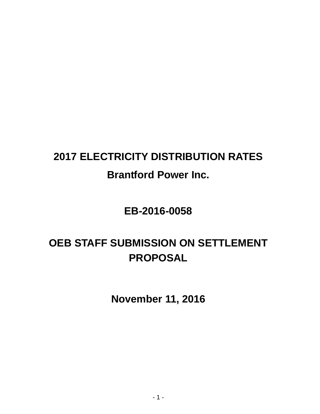# **2017 ELECTRICITY DISTRIBUTION RATES Brantford Power Inc.**

# **EB-2016-0058**

# **OEB STAFF SUBMISSION ON SETTLEMENT PROPOSAL**

**November 11, 2016**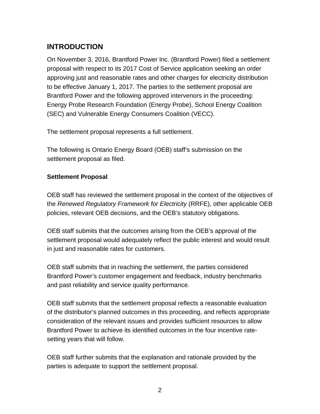## **INTRODUCTION**

On November 3, 2016, Brantford Power Inc. (Brantford Power) filed a settlement proposal with respect to its 2017 Cost of Service application seeking an order approving just and reasonable rates and other charges for electricity distribution to be effective January 1, 2017. The parties to the settlement proposal are Brantford Power and the following approved intervenors in the proceeding: Energy Probe Research Foundation (Energy Probe), School Energy Coalition (SEC) and Vulnerable Energy Consumers Coalition (VECC).

The settlement proposal represents a full settlement.

The following is Ontario Energy Board (OEB) staff's submission on the settlement proposal as filed.

#### **Settlement Proposal**

OEB staff has reviewed the settlement proposal in the context of the objectives of the *Renewed Regulatory Framework for Electricity* (RRFE), other applicable OEB policies, relevant OEB decisions, and the OEB's statutory obligations.

OEB staff submits that the outcomes arising from the OEB's approval of the settlement proposal would adequately reflect the public interest and would result in just and reasonable rates for customers.

OEB staff submits that in reaching the settlement, the parties considered Brantford Power's customer engagement and feedback, industry benchmarks and past reliability and service quality performance.

OEB staff submits that the settlement proposal reflects a reasonable evaluation of the distributor's planned outcomes in this proceeding, and reflects appropriate consideration of the relevant issues and provides sufficient resources to allow Brantford Power to achieve its identified outcomes in the four incentive ratesetting years that will follow.

OEB staff further submits that the explanation and rationale provided by the parties is adequate to support the settlement proposal.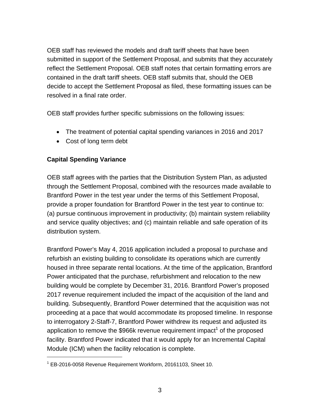OEB staff has reviewed the models and draft tariff sheets that have been submitted in support of the Settlement Proposal, and submits that they accurately reflect the Settlement Proposal. OEB staff notes that certain formatting errors are contained in the draft tariff sheets. OEB staff submits that, should the OEB decide to accept the Settlement Proposal as filed, these formatting issues can be resolved in a final rate order.

OEB staff provides further specific submissions on the following issues:

- The treatment of potential capital spending variances in 2016 and 2017
- Cost of long term debt

### **Capital Spending Variance**

 $\overline{a}$ 

OEB staff agrees with the parties that the Distribution System Plan, as adjusted through the Settlement Proposal, combined with the resources made available to Brantford Power in the test year under the terms of this Settlement Proposal, provide a proper foundation for Brantford Power in the test year to continue to: (a) pursue continuous improvement in productivity; (b) maintain system reliability and service quality objectives; and (c) maintain reliable and safe operation of its distribution system.

Brantford Power's May 4, 2016 application included a proposal to purchase and refurbish an existing building to consolidate its operations which are currently housed in three separate rental locations. At the time of the application, Brantford Power anticipated that the purchase, refurbishment and relocation to the new building would be complete by December 31, 2016. Brantford Power's proposed 2017 revenue requirement included the impact of the acquisition of the land and building. Subsequently, Brantford Power determined that the acquisition was not proceeding at a pace that would accommodate its proposed timeline. In response to interrogatory 2-Staff-7, Brantford Power withdrew its request and adjusted its application to remove the \$966k revenue requirement impact<sup>1</sup> of the proposed facility. Brantford Power indicated that it would apply for an Incremental Capital Module (ICM) when the facility relocation is complete.

<sup>&</sup>lt;sup>1</sup> EB-2016-0058 Revenue Requirement Workform, 20161103, Sheet 10.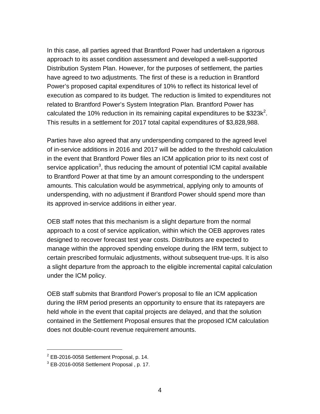In this case, all parties agreed that Brantford Power had undertaken a rigorous approach to its asset condition assessment and developed a well-supported Distribution System Plan. However, for the purposes of settlement, the parties have agreed to two adjustments. The first of these is a reduction in Brantford Power's proposed capital expenditures of 10% to reflect its historical level of execution as compared to its budget. The reduction is limited to expenditures not related to Brantford Power's System Integration Plan. Brantford Power has calculated the 10% reduction in its remaining capital expenditures to be  $$323k<sup>2</sup>$ . This results in a settlement for 2017 total capital expenditures of \$3,828,988.

Parties have also agreed that any underspending compared to the agreed level of in-service additions in 2016 and 2017 will be added to the threshold calculation in the event that Brantford Power files an ICM application prior to its next cost of service application<sup>3</sup>, thus reducing the amount of potential ICM capital available to Brantford Power at that time by an amount corresponding to the underspent amounts. This calculation would be asymmetrical, applying only to amounts of underspending, with no adjustment if Brantford Power should spend more than its approved in-service additions in either year.

OEB staff notes that this mechanism is a slight departure from the normal approach to a cost of service application, within which the OEB approves rates designed to recover forecast test year costs. Distributors are expected to manage within the approved spending envelope during the IRM term, subject to certain prescribed formulaic adjustments, without subsequent true-ups. It is also a slight departure from the approach to the eligible incremental capital calculation under the ICM policy.

OEB staff submits that Brantford Power's proposal to file an ICM application during the IRM period presents an opportunity to ensure that its ratepayers are held whole in the event that capital projects are delayed, and that the solution contained in the Settlement Proposal ensures that the proposed ICM calculation does not double-count revenue requirement amounts.

 $\overline{a}$ 

 $2$  EB-2016-0058 Settlement Proposal, p. 14.

 $3$  EB-2016-0058 Settlement Proposal, p. 17.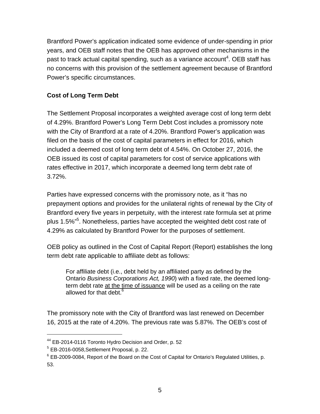Brantford Power's application indicated some evidence of under-spending in prior years, and OEB staff notes that the OEB has approved other mechanisms in the past to track actual capital spending, such as a variance account<sup>4</sup>. OEB staff has no concerns with this provision of the settlement agreement because of Brantford Power's specific circumstances.

### **Cost of Long Term Debt**

The Settlement Proposal incorporates a weighted average cost of long term debt of 4.29%. Brantford Power's Long Term Debt Cost includes a promissory note with the City of Brantford at a rate of 4.20%. Brantford Power's application was filed on the basis of the cost of capital parameters in effect for 2016, which included a deemed cost of long term debt of 4.54%. On October 27, 2016, the OEB issued its cost of capital parameters for cost of service applications with rates effective in 2017, which incorporate a deemed long term debt rate of 3.72%.

Parties have expressed concerns with the promissory note, as it "has no prepayment options and provides for the unilateral rights of renewal by the City of Brantford every five years in perpetuity, with the interest rate formula set at prime plus 1.5%"<sup>5</sup>. Nonetheless, parties have accepted the weighted debt cost rate of 4.29% as calculated by Brantford Power for the purposes of settlement.

OEB policy as outlined in the Cost of Capital Report (Report) establishes the long term debt rate applicable to affiliate debt as follows:

For affiliate debt (i.e., debt held by an affiliated party as defined by the Ontario *Business Corporations Act, 1990*) with a fixed rate, the deemed longterm debt rate at the time of issuance will be used as a ceiling on the rate allowed for that debt.<sup>6</sup>

The promissory note with the City of Brantford was last renewed on December 16, 2015 at the rate of 4.20%. The previous rate was 5.87%. The OEB's cost of

 $\overline{a}$ 

<sup>&</sup>lt;sup>44</sup> EB-2014-0116 Toronto Hydro Decision and Order, p. 52

<sup>&</sup>lt;sup>5</sup> EB-2016-0058, Settlement Proposal, p. 22.

 $6$  EB-2009-0084, Report of the Board on the Cost of Capital for Ontario's Regulated Utilities, p. 53.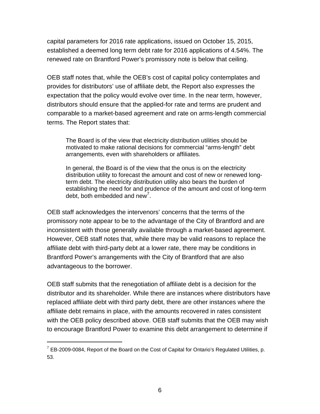capital parameters for 2016 rate applications, issued on October 15, 2015, established a deemed long term debt rate for 2016 applications of 4.54%. The renewed rate on Brantford Power's promissory note is below that ceiling.

OEB staff notes that, while the OEB's cost of capital policy contemplates and provides for distributors' use of affiliate debt, the Report also expresses the expectation that the policy would evolve over time. In the near term, however, distributors should ensure that the applied-for rate and terms are prudent and comparable to a market-based agreement and rate on arms-length commercial terms. The Report states that:

The Board is of the view that electricity distribution utilities should be motivated to make rational decisions for commercial "arms-length" debt arrangements, even with shareholders or affiliates.

In general, the Board is of the view that the onus is on the electricity distribution utility to forecast the amount and cost of new or renewed longterm debt. The electricity distribution utility also bears the burden of establishing the need for and prudence of the amount and cost of long-term debt, both embedded and new<sup>7</sup>.

OEB staff acknowledges the intervenors' concerns that the terms of the promissory note appear to be to the advantage of the City of Brantford and are inconsistent with those generally available through a market-based agreement. However, OEB staff notes that, while there may be valid reasons to replace the affiliate debt with third-party debt at a lower rate, there may be conditions in Brantford Power's arrangements with the City of Brantford that are also advantageous to the borrower.

OEB staff submits that the renegotiation of affiliate debt is a decision for the distributor and its shareholder. While there are instances where distributors have replaced affiliate debt with third party debt, there are other instances where the affiliate debt remains in place, with the amounts recovered in rates consistent with the OEB policy described above. OEB staff submits that the OEB may wish to encourage Brantford Power to examine this debt arrangement to determine if

 $\overline{a}$ 

 $7$  EB-2009-0084, Report of the Board on the Cost of Capital for Ontario's Regulated Utilities, p. 53.